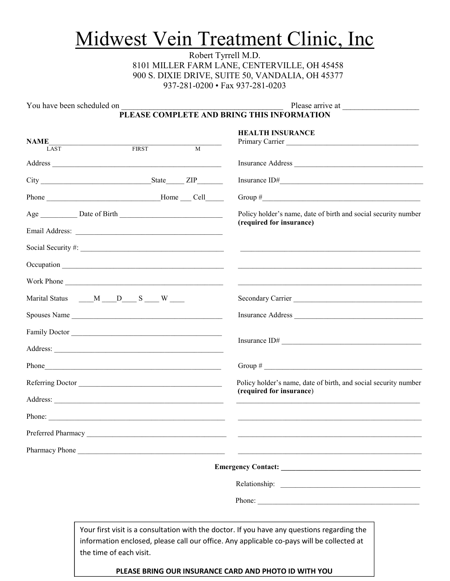# Midwest Vein Treatment Clinic, Inc

Robert Tyrrell M.D. 8101 MILLER FARM LANE, CENTERVILLE, OH 45458 900 S. DIXIE DRIVE, SUITE 50, VANDALIA, OH 45377 937-281-0200 • Fax 937-281-0203

You have been scheduled on **Example 20** Please arrive at  $\blacksquare$ 

**PLEASE COMPLETE AND BRING THIS INFORMATION** 

| <b>NAME</b>              |                                               |                | <b>HEALTH INSURANCE</b>                                                                                                                                                                  |  |  |  |
|--------------------------|-----------------------------------------------|----------------|------------------------------------------------------------------------------------------------------------------------------------------------------------------------------------------|--|--|--|
| $\overline{\text{LAST}}$ | <b>FIRST</b>                                  | $\overline{M}$ | Primary Carrier                                                                                                                                                                          |  |  |  |
|                          |                                               |                |                                                                                                                                                                                          |  |  |  |
|                          |                                               |                |                                                                                                                                                                                          |  |  |  |
|                          |                                               |                | Group $\#$                                                                                                                                                                               |  |  |  |
|                          |                                               |                | Policy holder's name, date of birth and social security number<br>(required for insurance)                                                                                               |  |  |  |
|                          |                                               |                |                                                                                                                                                                                          |  |  |  |
|                          |                                               |                |                                                                                                                                                                                          |  |  |  |
|                          |                                               |                | <u> 1989 - Johann Barbara, martin amerikan bashkar (</u>                                                                                                                                 |  |  |  |
|                          | Work Phone                                    |                |                                                                                                                                                                                          |  |  |  |
|                          | Marital Status _____M ____D____ S ____ W ____ |                | Secondary Carrier                                                                                                                                                                        |  |  |  |
| Spouses Name             |                                               |                | Insurance Address                                                                                                                                                                        |  |  |  |
|                          | Family Doctor                                 |                |                                                                                                                                                                                          |  |  |  |
|                          |                                               |                | Insurance ID#                                                                                                                                                                            |  |  |  |
|                          |                                               |                | Group # $\sqrt{2\pi i}$                                                                                                                                                                  |  |  |  |
| Referring Doctor         |                                               |                | Policy holder's name, date of birth, and social security number<br>(required for insurance)                                                                                              |  |  |  |
|                          |                                               |                |                                                                                                                                                                                          |  |  |  |
|                          |                                               |                |                                                                                                                                                                                          |  |  |  |
|                          |                                               |                |                                                                                                                                                                                          |  |  |  |
|                          |                                               |                | Pharmacy Phone                                                                                                                                                                           |  |  |  |
|                          |                                               |                |                                                                                                                                                                                          |  |  |  |
|                          |                                               |                |                                                                                                                                                                                          |  |  |  |
|                          |                                               |                | Phone:                                                                                                                                                                                   |  |  |  |
|                          |                                               |                |                                                                                                                                                                                          |  |  |  |
|                          |                                               |                | Your first visit is a consultation with the doctor. If you have any questions regarding the<br>information enclosed, please call our office. Any applicable co-pays will be collected at |  |  |  |
|                          | the time of each visit.                       |                |                                                                                                                                                                                          |  |  |  |

**PLEASE BRING OUR INSURANCE CARD AND PHOTO ID WITH YOU**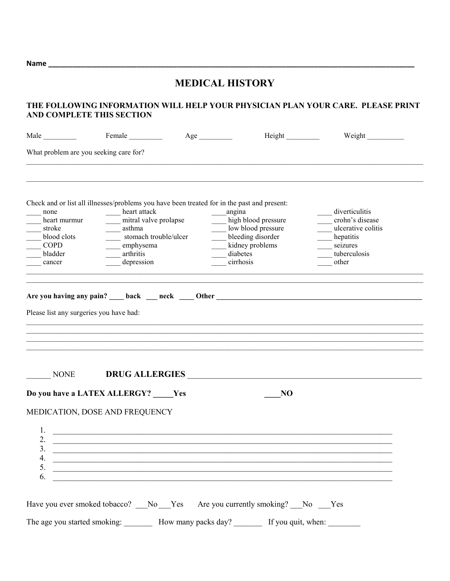**Name \_\_\_\_\_\_\_\_\_\_\_\_\_\_\_\_\_\_\_\_\_\_\_\_\_\_\_\_\_\_\_\_\_\_\_\_\_\_\_\_\_\_\_\_\_\_\_\_\_\_\_\_\_\_\_\_\_\_\_\_\_\_\_\_\_\_\_\_\_\_\_\_\_\_\_\_\_\_\_\_\_\_\_\_\_\_\_\_\_\_\_** 

#### **MEDICAL HISTORY**

#### **THE FOLLOWING INFORMATION WILL HELP YOUR PHYSICIAN PLAN YOUR CARE. PLEASE PRINT AND COMPLETE THIS SECTION**

| What problem are you seeking care for?<br>Check and or list all illnesses/problems you have been treated for in the past and present:<br>heart attack<br>angina<br>diverticulitis<br>none<br>mitral valve prolapse<br>high blood pressure<br>crohn's disease<br>heart murmur<br>low blood pressure<br>ulcerative colitis<br>asthma<br>stroke<br>stomach trouble/ulcer<br>bleeding disorder<br>blood clots<br>hepatitis<br>kidney problems<br><b>COPD</b><br>emphysema<br>seizures<br>arthritis<br>diabetes<br>tuberculosis<br>bladder<br>cirrhosis<br>depression<br>other<br>cancer<br>Please list any surgeries you have had:<br>DRUG ALLERGIES<br><b>NONE</b><br>Do you have a LATEX ALLERGY? _____ Yes<br>N <sub>O</sub><br>MEDICATION, DOSE AND FREQUENCY<br>1.<br><u> 1989 - Johann Barn, mars an t-Amerikaansk politiker (* 1908)</u><br>2.<br>$\overline{3}$ .<br>4. $\frac{1}{6}$ |  | Weight | Height |  | Male |
|-------------------------------------------------------------------------------------------------------------------------------------------------------------------------------------------------------------------------------------------------------------------------------------------------------------------------------------------------------------------------------------------------------------------------------------------------------------------------------------------------------------------------------------------------------------------------------------------------------------------------------------------------------------------------------------------------------------------------------------------------------------------------------------------------------------------------------------------------------------------------------------------|--|--------|--------|--|------|
|                                                                                                                                                                                                                                                                                                                                                                                                                                                                                                                                                                                                                                                                                                                                                                                                                                                                                           |  |        |        |  |      |
|                                                                                                                                                                                                                                                                                                                                                                                                                                                                                                                                                                                                                                                                                                                                                                                                                                                                                           |  |        |        |  |      |
|                                                                                                                                                                                                                                                                                                                                                                                                                                                                                                                                                                                                                                                                                                                                                                                                                                                                                           |  |        |        |  |      |
|                                                                                                                                                                                                                                                                                                                                                                                                                                                                                                                                                                                                                                                                                                                                                                                                                                                                                           |  |        |        |  |      |
|                                                                                                                                                                                                                                                                                                                                                                                                                                                                                                                                                                                                                                                                                                                                                                                                                                                                                           |  |        |        |  |      |
|                                                                                                                                                                                                                                                                                                                                                                                                                                                                                                                                                                                                                                                                                                                                                                                                                                                                                           |  |        |        |  |      |
|                                                                                                                                                                                                                                                                                                                                                                                                                                                                                                                                                                                                                                                                                                                                                                                                                                                                                           |  |        |        |  |      |
|                                                                                                                                                                                                                                                                                                                                                                                                                                                                                                                                                                                                                                                                                                                                                                                                                                                                                           |  |        |        |  |      |
|                                                                                                                                                                                                                                                                                                                                                                                                                                                                                                                                                                                                                                                                                                                                                                                                                                                                                           |  |        |        |  |      |
|                                                                                                                                                                                                                                                                                                                                                                                                                                                                                                                                                                                                                                                                                                                                                                                                                                                                                           |  |        |        |  |      |
|                                                                                                                                                                                                                                                                                                                                                                                                                                                                                                                                                                                                                                                                                                                                                                                                                                                                                           |  |        |        |  |      |
|                                                                                                                                                                                                                                                                                                                                                                                                                                                                                                                                                                                                                                                                                                                                                                                                                                                                                           |  |        |        |  |      |
|                                                                                                                                                                                                                                                                                                                                                                                                                                                                                                                                                                                                                                                                                                                                                                                                                                                                                           |  |        |        |  |      |
|                                                                                                                                                                                                                                                                                                                                                                                                                                                                                                                                                                                                                                                                                                                                                                                                                                                                                           |  |        |        |  |      |
|                                                                                                                                                                                                                                                                                                                                                                                                                                                                                                                                                                                                                                                                                                                                                                                                                                                                                           |  |        |        |  |      |
|                                                                                                                                                                                                                                                                                                                                                                                                                                                                                                                                                                                                                                                                                                                                                                                                                                                                                           |  |        |        |  |      |
|                                                                                                                                                                                                                                                                                                                                                                                                                                                                                                                                                                                                                                                                                                                                                                                                                                                                                           |  |        |        |  |      |
|                                                                                                                                                                                                                                                                                                                                                                                                                                                                                                                                                                                                                                                                                                                                                                                                                                                                                           |  |        |        |  |      |
|                                                                                                                                                                                                                                                                                                                                                                                                                                                                                                                                                                                                                                                                                                                                                                                                                                                                                           |  |        |        |  |      |
|                                                                                                                                                                                                                                                                                                                                                                                                                                                                                                                                                                                                                                                                                                                                                                                                                                                                                           |  |        |        |  |      |
|                                                                                                                                                                                                                                                                                                                                                                                                                                                                                                                                                                                                                                                                                                                                                                                                                                                                                           |  |        |        |  |      |
|                                                                                                                                                                                                                                                                                                                                                                                                                                                                                                                                                                                                                                                                                                                                                                                                                                                                                           |  |        |        |  |      |
| Have you ever smoked tobacco? __No __Yes Are you currently smoking? __No __Yes                                                                                                                                                                                                                                                                                                                                                                                                                                                                                                                                                                                                                                                                                                                                                                                                            |  |        |        |  |      |
| The age you started smoking: __________ How many packs day? __________ If you quit, when: _________                                                                                                                                                                                                                                                                                                                                                                                                                                                                                                                                                                                                                                                                                                                                                                                       |  |        |        |  |      |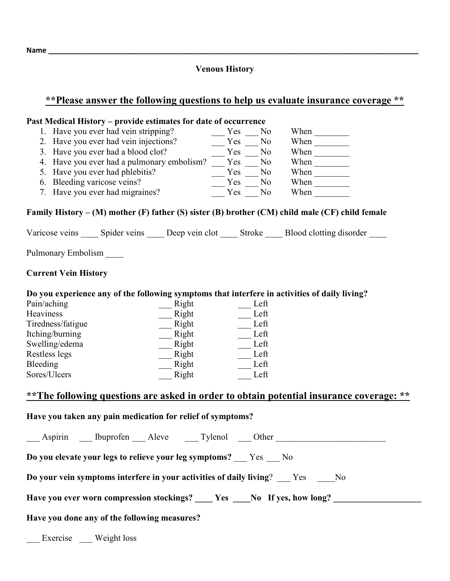#### **Name \_\_\_\_\_\_\_\_\_\_\_\_\_\_\_\_\_\_\_\_\_\_\_\_\_\_\_\_\_\_\_\_\_\_\_\_\_\_\_\_\_\_\_\_\_\_\_\_\_\_\_\_\_\_\_\_\_\_\_\_\_\_\_\_\_\_\_\_\_\_\_\_\_\_\_\_\_\_\_\_\_\_\_\_\_\_\_\_\_\_\_\_**

#### **Venous History**

## **\*\*Please answer the following questions to help us evaluate insurance coverage \*\***

| Past Medical History – provide estimates for date of occurrence                                                                                         |                                                                        |                           |               |  |  |  |  |  |  |
|---------------------------------------------------------------------------------------------------------------------------------------------------------|------------------------------------------------------------------------|---------------------------|---------------|--|--|--|--|--|--|
|                                                                                                                                                         |                                                                        | No                        | When $\qquad$ |  |  |  |  |  |  |
| 2. Have you ever had vein injections?<br>$3.$ Have you ever had a blood clot?<br>$2.$ Yes $\frac{12}{10}$ Yes                                           |                                                                        | No                        |               |  |  |  |  |  |  |
| 3. Have you ever had a blood clot?<br>4. Have you ever had a pulmonary embolism? $\frac{Y \text{es}}{Y \text{es}}$ $\frac{Y \text{es}}{Y \text{es}}$ No |                                                                        |                           | When $\_\_$   |  |  |  |  |  |  |
|                                                                                                                                                         |                                                                        |                           | When $\_\_$   |  |  |  |  |  |  |
| 5. Have you ever had phlebitis?                                                                                                                         |                                                                        |                           |               |  |  |  |  |  |  |
| 6. Bleeding varicose veins?                                                                                                                             |                                                                        |                           | When $\_\_$   |  |  |  |  |  |  |
| 7. Have you ever had migraines?                                                                                                                         | $\frac{Yes}{Yes} \frac{N_0}{N_0}$<br>$\frac{Yes}{Yes} \frac{N_0}{N_0}$ |                           | When $\qquad$ |  |  |  |  |  |  |
| Family History – (M) mother (F) father (S) sister (B) brother (CM) child male (CF) child female                                                         |                                                                        |                           |               |  |  |  |  |  |  |
| Varicose veins ______ Spider veins ______ Deep vein clot ______ Stroke ______ Blood clotting disorder _____                                             |                                                                        |                           |               |  |  |  |  |  |  |
| Pulmonary Embolism                                                                                                                                      |                                                                        |                           |               |  |  |  |  |  |  |
| <b>Current Vein History</b>                                                                                                                             |                                                                        |                           |               |  |  |  |  |  |  |
| Do you experience any of the following symptoms that interfere in activities of daily living?                                                           |                                                                        |                           |               |  |  |  |  |  |  |
| Pain/aching<br>Right                                                                                                                                    |                                                                        | Left                      |               |  |  |  |  |  |  |
| $\qquad$ Right<br>Heaviness                                                                                                                             |                                                                        | Left                      |               |  |  |  |  |  |  |
| $\frac{1}{\sum_{i=1}^{n} h_i}$<br>Tiredness/fatigue                                                                                                     |                                                                        | $\sqrt{\phantom{a}}$ Left |               |  |  |  |  |  |  |
| Itching/burning<br>$\frac{Right}{\sqrt{2}}$                                                                                                             |                                                                        | Left                      |               |  |  |  |  |  |  |
| Swelling/edema<br>$\frac{Right}{\sqrt{2}}$                                                                                                              |                                                                        | Left                      |               |  |  |  |  |  |  |
| $\equiv$ Right<br>Restless legs                                                                                                                         |                                                                        | Left                      |               |  |  |  |  |  |  |
| Bleeding<br>Right                                                                                                                                       |                                                                        | Left                      |               |  |  |  |  |  |  |
| Sores/Ulcers<br>Right                                                                                                                                   |                                                                        | Left                      |               |  |  |  |  |  |  |
| ** The following questions are asked in order to obtain potential insurance coverage: **                                                                |                                                                        |                           |               |  |  |  |  |  |  |
| Have you taken any pain medication for relief of symptoms?                                                                                              |                                                                        |                           |               |  |  |  |  |  |  |
| Aspirin ____ Ibuprofen _____ Aleve ________ Tylenol ______ Other                                                                                        |                                                                        |                           |               |  |  |  |  |  |  |
| Do you elevate your legs to relieve your leg symptoms? __ Yes __ No                                                                                     |                                                                        |                           |               |  |  |  |  |  |  |
| Do your vein symptoms interfere in your activities of daily living? ___ Yes ____ No                                                                     |                                                                        |                           |               |  |  |  |  |  |  |
| Have you ever worn compression stockings? ____ Yes ____ No If yes, how long? ________                                                                   |                                                                        |                           |               |  |  |  |  |  |  |
| Have you done any of the following measures?                                                                                                            |                                                                        |                           |               |  |  |  |  |  |  |
| __ Exercise __ Weight loss                                                                                                                              |                                                                        |                           |               |  |  |  |  |  |  |